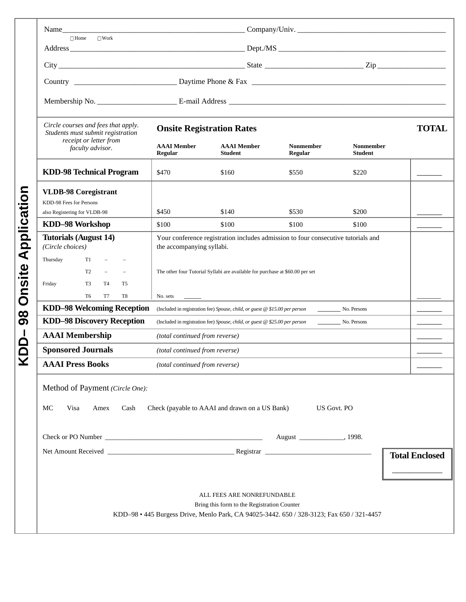|                                             | $\Box$ Home<br>$\Box$ Work                                                                |                                                                                                                |                                                                             |                             |                             |              |
|---------------------------------------------|-------------------------------------------------------------------------------------------|----------------------------------------------------------------------------------------------------------------|-----------------------------------------------------------------------------|-----------------------------|-----------------------------|--------------|
|                                             |                                                                                           |                                                                                                                |                                                                             |                             |                             |              |
|                                             |                                                                                           |                                                                                                                |                                                                             |                             |                             |              |
|                                             |                                                                                           |                                                                                                                |                                                                             |                             |                             |              |
|                                             | Circle courses and fees that apply.<br>Students must submit registration                  | <b>Onsite Registration Rates</b>                                                                               |                                                                             |                             |                             | <b>TOTAL</b> |
|                                             | receipt or letter from<br>faculty advisor.                                                | <b>AAAI</b> Member<br>Regular                                                                                  | <b>AAAI</b> Member<br><b>Student</b>                                        | <b>Nonmember</b><br>Regular | Nonmember<br><b>Student</b> |              |
|                                             | <b>KDD-98 Technical Program</b>                                                           | \$470                                                                                                          | \$160                                                                       | \$550                       | \$220                       |              |
|                                             | <b>VLDB-98 Coregistrant</b><br>KDD-98 Fees for Persons                                    |                                                                                                                |                                                                             |                             |                             |              |
| Application<br>Onsite<br>$\infty$<br>ග<br>¥ | also Registering for VLDB-98                                                              | \$450                                                                                                          | \$140                                                                       | \$530                       | \$200                       |              |
|                                             | KDD-98 Workshop                                                                           | \$100                                                                                                          | \$100                                                                       | \$100                       | \$100                       |              |
|                                             | <b>Tutorials (August 14)</b><br>(Circle choices)                                          | Your conference registration includes admission to four consecutive tutorials and<br>the accompanying syllabi. |                                                                             |                             |                             |              |
|                                             | Thursday<br>T1                                                                            |                                                                                                                |                                                                             |                             |                             |              |
|                                             | T <sub>2</sub>                                                                            | The other four Tutorial Syllabi are available for purchase at \$60.00 per set                                  |                                                                             |                             |                             |              |
|                                             | Friday<br>T <sub>3</sub><br>T <sub>4</sub><br>T <sub>5</sub>                              |                                                                                                                |                                                                             |                             |                             |              |
|                                             | T <sub>6</sub><br>T8<br>T7                                                                | No. sets                                                                                                       |                                                                             |                             |                             |              |
|                                             | <b>KDD-98 Welcoming Reception</b>                                                         |                                                                                                                | (Included in registration fee) Spouse, child, or guest @ \$15.00 per person |                             | No. Persons                 |              |
|                                             | <b>KDD-98 Discovery Reception</b>                                                         |                                                                                                                | (Included in registration fee) Spouse, child, or guest @ \$25.00 per person |                             | No. Persons                 |              |
|                                             | <b>AAAI</b> Membership                                                                    | (total continued from reverse)                                                                                 |                                                                             |                             |                             |              |
|                                             | <b>Sponsored Journals</b>                                                                 | (total continued from reverse)                                                                                 |                                                                             |                             |                             |              |
|                                             | <b>AAAI</b> Press Books                                                                   | (total continued from reverse)                                                                                 |                                                                             |                             |                             |              |
|                                             | Method of Payment (Circle One):                                                           |                                                                                                                |                                                                             |                             |                             |              |
|                                             | МC<br>Visa<br>Cash<br>Amex                                                                |                                                                                                                | Check (payable to AAAI and drawn on a US Bank)                              | <b>US Govt. PO</b>          |                             |              |
|                                             |                                                                                           |                                                                                                                |                                                                             |                             |                             |              |
|                                             |                                                                                           | <b>Total Enclosed</b>                                                                                          |                                                                             |                             |                             |              |
|                                             |                                                                                           |                                                                                                                |                                                                             |                             |                             |              |
|                                             |                                                                                           |                                                                                                                |                                                                             |                             |                             |              |
|                                             |                                                                                           |                                                                                                                |                                                                             |                             |                             |              |
|                                             | ALL FEES ARE NONREFUNDABLE<br>Bring this form to the Registration Counter                 |                                                                                                                |                                                                             |                             |                             |              |
|                                             | KDD-98 • 445 Burgess Drive, Menlo Park, CA 94025-3442. 650 / 328-3123; Fax 650 / 321-4457 |                                                                                                                |                                                                             |                             |                             |              |
|                                             |                                                                                           |                                                                                                                |                                                                             |                             |                             |              |